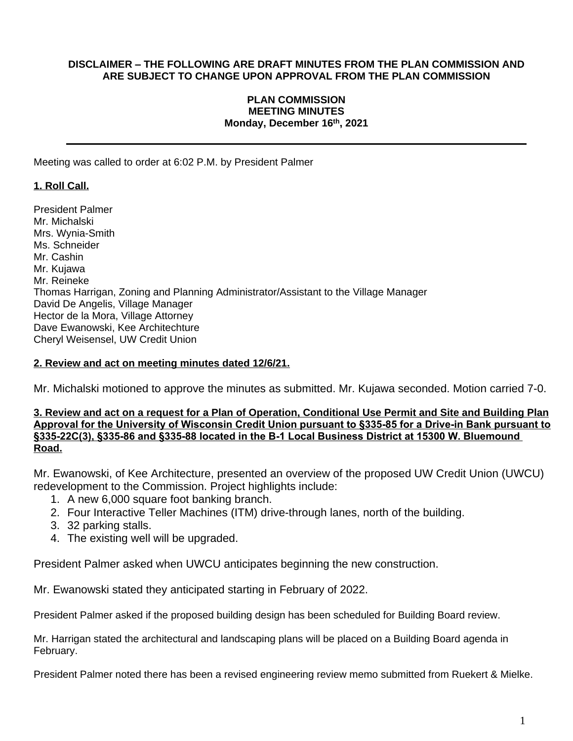### **DISCLAIMER – THE FOLLOWING ARE DRAFT MINUTES FROM THE PLAN COMMISSION AND ARE SUBJECT TO CHANGE UPON APPROVAL FROM THE PLAN COMMISSION**

### **PLAN COMMISSION MEETING MINUTES Monday, December 16 th, 2021**

Meeting was called to order at 6:02 P.M. by President Palmer

# **1. Roll Call.**

President Palmer Mr. Michalski Mrs. Wynia-Smith Ms. Schneider Mr. Cashin Mr. Kujawa Mr. Reineke Thomas Harrigan, Zoning and Planning Administrator/Assistant to the Village Manager David De Angelis, Village Manager Hector de la Mora, Village Attorney Dave Ewanowski, Kee Architechture Cheryl Weisensel, UW Credit Union

### **2. Review and act on meeting minutes dated 12/6/21.**

Mr. Michalski motioned to approve the minutes as submitted. Mr. Kujawa seconded. Motion carried 7-0.

### **3. Review and act on a request for a Plan of Operation, Conditional Use Permit and Site and Building Plan Approval for the University of Wisconsin Credit Union pursuant to §335-85 for a Drive-in Bank pursuant to §335-22C(3), §335-86 and §335-88 located in the B-1 Local Business District at 15300 W. Bluemound Road.**

Mr. Ewanowski, of Kee Architecture, presented an overview of the proposed UW Credit Union (UWCU) redevelopment to the Commission. Project highlights include:

- 1. A new 6,000 square foot banking branch.
- 2. Four Interactive Teller Machines (ITM) drive-through lanes, north of the building.
- 3. 32 parking stalls.
- 4. The existing well will be upgraded.

President Palmer asked when UWCU anticipates beginning the new construction.

Mr. Ewanowski stated they anticipated starting in February of 2022.

President Palmer asked if the proposed building design has been scheduled for Building Board review.

Mr. Harrigan stated the architectural and landscaping plans will be placed on a Building Board agenda in February.

President Palmer noted there has been a revised engineering review memo submitted from Ruekert & Mielke.